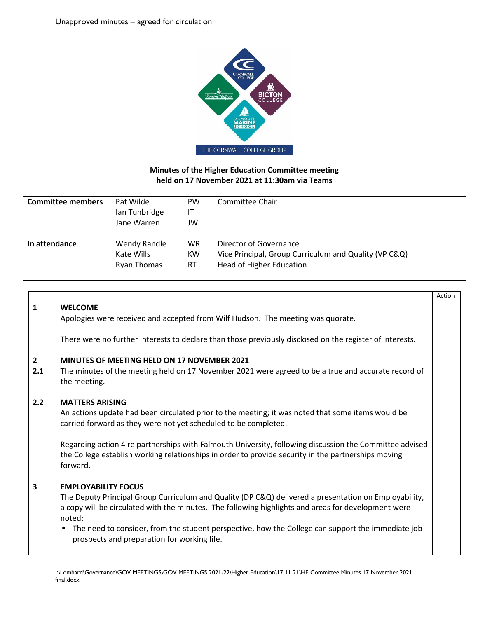

## **Minutes of the Higher Education Committee meeting held on 17 November 2021 at 11:30am via Teams**

| <b>Committee members</b> | Pat Wilde<br>Ian Tunbridge<br>Jane Warren | PW<br>IT<br>JW | Committee Chair                                       |
|--------------------------|-------------------------------------------|----------------|-------------------------------------------------------|
| In attendance            | Wendy Randle                              | <b>WR</b>      | Director of Governance                                |
|                          | Kate Wills                                | KW             | Vice Principal, Group Curriculum and Quality (VP C&Q) |
|                          | Ryan Thomas                               | <b>RT</b>      | <b>Head of Higher Education</b>                       |

|                         |                                                                                                                                                                                                                            | Action |
|-------------------------|----------------------------------------------------------------------------------------------------------------------------------------------------------------------------------------------------------------------------|--------|
| $\mathbf{1}$            | <b>WELCOME</b><br>Apologies were received and accepted from Wilf Hudson. The meeting was quorate.                                                                                                                          |        |
|                         | There were no further interests to declare than those previously disclosed on the register of interests.                                                                                                                   |        |
| $\overline{2}$          | MINUTES OF MEETING HELD ON 17 NOVEMBER 2021                                                                                                                                                                                |        |
| 2.1                     | The minutes of the meeting held on 17 November 2021 were agreed to be a true and accurate record of<br>the meeting.                                                                                                        |        |
| 2.2                     | <b>MATTERS ARISING</b>                                                                                                                                                                                                     |        |
|                         | An actions update had been circulated prior to the meeting; it was noted that some items would be<br>carried forward as they were not yet scheduled to be completed.                                                       |        |
|                         | Regarding action 4 re partnerships with Falmouth University, following discussion the Committee advised<br>the College establish working relationships in order to provide security in the partnerships moving<br>forward. |        |
| $\overline{\mathbf{3}}$ | <b>EMPLOYABILITY FOCUS</b>                                                                                                                                                                                                 |        |
|                         | The Deputy Principal Group Curriculum and Quality (DP C&Q) delivered a presentation on Employability,                                                                                                                      |        |
|                         | a copy will be circulated with the minutes. The following highlights and areas for development were<br>noted:                                                                                                              |        |
|                         | The need to consider, from the student perspective, how the College can support the immediate job<br>٠<br>prospects and preparation for working life.                                                                      |        |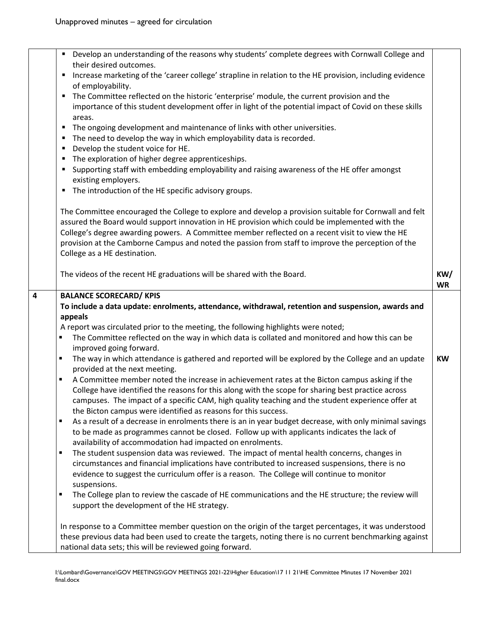|   | • Develop an understanding of the reasons why students' complete degrees with Cornwall College and                                                                                                   |           |
|---|------------------------------------------------------------------------------------------------------------------------------------------------------------------------------------------------------|-----------|
|   | their desired outcomes.<br>Increase marketing of the 'career college' strapline in relation to the HE provision, including evidence<br>п                                                             |           |
|   | of employability.                                                                                                                                                                                    |           |
|   | The Committee reflected on the historic 'enterprise' module, the current provision and the<br>٠                                                                                                      |           |
|   | importance of this student development offer in light of the potential impact of Covid on these skills                                                                                               |           |
|   | areas.                                                                                                                                                                                               |           |
|   | The ongoing development and maintenance of links with other universities.<br>٠                                                                                                                       |           |
|   | The need to develop the way in which employability data is recorded.<br>٠                                                                                                                            |           |
|   | Develop the student voice for HE.<br>п                                                                                                                                                               |           |
|   | The exploration of higher degree apprenticeships.<br>٠                                                                                                                                               |           |
|   | Supporting staff with embedding employability and raising awareness of the HE offer amongst<br>٠                                                                                                     |           |
|   | existing employers.                                                                                                                                                                                  |           |
|   | The introduction of the HE specific advisory groups.<br>٠                                                                                                                                            |           |
|   | The Committee encouraged the College to explore and develop a provision suitable for Cornwall and felt                                                                                               |           |
|   | assured the Board would support innovation in HE provision which could be implemented with the                                                                                                       |           |
|   | College's degree awarding powers. A Committee member reflected on a recent visit to view the HE                                                                                                      |           |
|   | provision at the Camborne Campus and noted the passion from staff to improve the perception of the                                                                                                   |           |
|   | College as a HE destination.                                                                                                                                                                         |           |
|   |                                                                                                                                                                                                      |           |
|   | The videos of the recent HE graduations will be shared with the Board.                                                                                                                               | KW/       |
| 4 | <b>BALANCE SCORECARD/ KPIS</b>                                                                                                                                                                       | <b>WR</b> |
|   | To include a data update: enrolments, attendance, withdrawal, retention and suspension, awards and                                                                                                   |           |
|   | appeals                                                                                                                                                                                              |           |
|   | A report was circulated prior to the meeting, the following highlights were noted;                                                                                                                   |           |
|   | The Committee reflected on the way in which data is collated and monitored and how this can be                                                                                                       |           |
|   | improved going forward.                                                                                                                                                                              |           |
|   | The way in which attendance is gathered and reported will be explored by the College and an update<br>$\blacksquare$                                                                                 | <b>KW</b> |
|   | provided at the next meeting.                                                                                                                                                                        |           |
|   | A Committee member noted the increase in achievement rates at the Bicton campus asking if the                                                                                                        |           |
|   | College have identified the reasons for this along with the scope for sharing best practice across                                                                                                   |           |
|   | campuses. The impact of a specific CAM, high quality teaching and the student experience offer at                                                                                                    |           |
|   | the Bicton campus were identified as reasons for this success.<br>٠                                                                                                                                  |           |
|   | As a result of a decrease in enrolments there is an in year budget decrease, with only minimal savings<br>to be made as programmes cannot be closed. Follow up with applicants indicates the lack of |           |
|   | availability of accommodation had impacted on enrolments.                                                                                                                                            |           |
|   | The student suspension data was reviewed. The impact of mental health concerns, changes in<br>٠                                                                                                      |           |
|   | circumstances and financial implications have contributed to increased suspensions, there is no                                                                                                      |           |
|   | evidence to suggest the curriculum offer is a reason. The College will continue to monitor                                                                                                           |           |
|   | suspensions.                                                                                                                                                                                         |           |
|   | The College plan to review the cascade of HE communications and the HE structure; the review will<br>п                                                                                               |           |
|   | support the development of the HE strategy.                                                                                                                                                          |           |
|   |                                                                                                                                                                                                      |           |
|   | In response to a Committee member question on the origin of the target percentages, it was understood                                                                                                |           |
|   | these previous data had been used to create the targets, noting there is no current benchmarking against<br>national data sets; this will be reviewed going forward.                                 |           |
|   |                                                                                                                                                                                                      |           |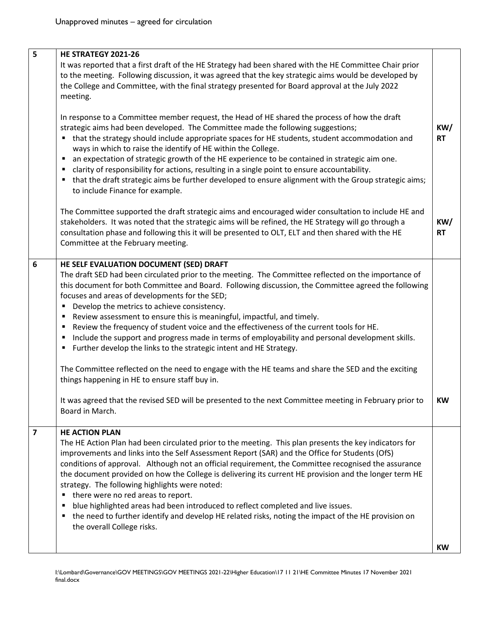| 5                       | HE STRATEGY 2021-26                                                                                                                                                                                                                                                                                                                                                                                                                                                                                                                                                                                                                                                                                                                                                                                                                                                                                                                                                                                                |                  |
|-------------------------|--------------------------------------------------------------------------------------------------------------------------------------------------------------------------------------------------------------------------------------------------------------------------------------------------------------------------------------------------------------------------------------------------------------------------------------------------------------------------------------------------------------------------------------------------------------------------------------------------------------------------------------------------------------------------------------------------------------------------------------------------------------------------------------------------------------------------------------------------------------------------------------------------------------------------------------------------------------------------------------------------------------------|------------------|
|                         | It was reported that a first draft of the HE Strategy had been shared with the HE Committee Chair prior<br>to the meeting. Following discussion, it was agreed that the key strategic aims would be developed by<br>the College and Committee, with the final strategy presented for Board approval at the July 2022<br>meeting.                                                                                                                                                                                                                                                                                                                                                                                                                                                                                                                                                                                                                                                                                   |                  |
|                         | In response to a Committee member request, the Head of HE shared the process of how the draft<br>strategic aims had been developed. The Committee made the following suggestions;<br>" that the strategy should include appropriate spaces for HE students, student accommodation and<br>ways in which to raise the identify of HE within the College.<br>an expectation of strategic growth of the HE experience to be contained in strategic aim one.<br>٠<br>clarity of responsibility for actions, resulting in a single point to ensure accountability.<br>" that the draft strategic aims be further developed to ensure alignment with the Group strategic aims;<br>to include Finance for example.                                                                                                                                                                                                                                                                                                         | KW/<br><b>RT</b> |
|                         | The Committee supported the draft strategic aims and encouraged wider consultation to include HE and<br>stakeholders. It was noted that the strategic aims will be refined, the HE Strategy will go through a<br>consultation phase and following this it will be presented to OLT, ELT and then shared with the HE<br>Committee at the February meeting.                                                                                                                                                                                                                                                                                                                                                                                                                                                                                                                                                                                                                                                          | KW/<br><b>RT</b> |
| $\boldsymbol{6}$        | HE SELF EVALUATION DOCUMENT (SED) DRAFT<br>The draft SED had been circulated prior to the meeting. The Committee reflected on the importance of<br>this document for both Committee and Board. Following discussion, the Committee agreed the following<br>focuses and areas of developments for the SED;<br>Develop the metrics to achieve consistency.<br>٠<br>Review assessment to ensure this is meaningful, impactful, and timely.<br>٠<br>Review the frequency of student voice and the effectiveness of the current tools for HE.<br>Include the support and progress made in terms of employability and personal development skills.<br>٠<br>Further develop the links to the strategic intent and HE Strategy.<br>٠<br>The Committee reflected on the need to engage with the HE teams and share the SED and the exciting<br>things happening in HE to ensure staff buy in.<br>It was agreed that the revised SED will be presented to the next Committee meeting in February prior to<br>Board in March. | KW               |
| $\overline{\mathbf{z}}$ | <b>HE ACTION PLAN</b><br>The HE Action Plan had been circulated prior to the meeting. This plan presents the key indicators for<br>improvements and links into the Self Assessment Report (SAR) and the Office for Students (OfS)<br>conditions of approval. Although not an official requirement, the Committee recognised the assurance<br>the document provided on how the College is delivering its current HE provision and the longer term HE<br>strategy. The following highlights were noted:<br>there were no red areas to report.<br>٠<br>blue highlighted areas had been introduced to reflect completed and live issues.<br>٠<br>the need to further identify and develop HE related risks, noting the impact of the HE provision on<br>п<br>the overall College risks.                                                                                                                                                                                                                                |                  |
|                         |                                                                                                                                                                                                                                                                                                                                                                                                                                                                                                                                                                                                                                                                                                                                                                                                                                                                                                                                                                                                                    | <b>KW</b>        |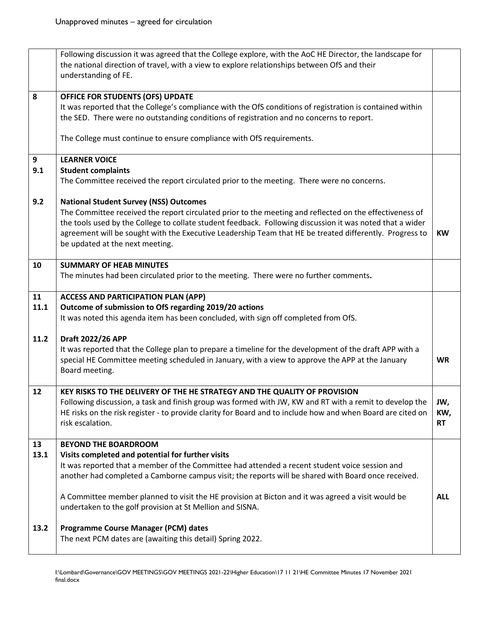|                    | Following discussion it was agreed that the College explore, with the AoC HE Director, the landscape for<br>the national direction of travel, with a view to explore relationships between OfS and their<br>understanding of FE.                                                                                                                                                                                                                                                                                                                                         |                         |
|--------------------|--------------------------------------------------------------------------------------------------------------------------------------------------------------------------------------------------------------------------------------------------------------------------------------------------------------------------------------------------------------------------------------------------------------------------------------------------------------------------------------------------------------------------------------------------------------------------|-------------------------|
| 8                  | OFFICE FOR STUDENTS (OFS) UPDATE<br>It was reported that the College's compliance with the OfS conditions of registration is contained within<br>the SED. There were no outstanding conditions of registration and no concerns to report.<br>The College must continue to ensure compliance with OfS requirements.                                                                                                                                                                                                                                                       |                         |
| 9<br>9.1<br>9.2    | <b>LEARNER VOICE</b><br><b>Student complaints</b><br>The Committee received the report circulated prior to the meeting. There were no concerns.<br><b>National Student Survey (NSS) Outcomes</b><br>The Committee received the report circulated prior to the meeting and reflected on the effectiveness of<br>the tools used by the College to collate student feedback. Following discussion it was noted that a wider<br>agreement will be sought with the Executive Leadership Team that HE be treated differently. Progress to<br>be updated at the next meeting.   | <b>KW</b>               |
| 10                 | <b>SUMMARY OF HEAB MINUTES</b><br>The minutes had been circulated prior to the meeting. There were no further comments.                                                                                                                                                                                                                                                                                                                                                                                                                                                  |                         |
| 11<br>11.1         | <b>ACCESS AND PARTICIPATION PLAN (APP)</b><br>Outcome of submission to OfS regarding 2019/20 actions<br>It was noted this agenda item has been concluded, with sign off completed from OfS.                                                                                                                                                                                                                                                                                                                                                                              |                         |
| 11.2               | Draft 2022/26 APP<br>It was reported that the College plan to prepare a timeline for the development of the draft APP with a<br>special HE Committee meeting scheduled in January, with a view to approve the APP at the January<br>Board meeting.                                                                                                                                                                                                                                                                                                                       | <b>WR</b>               |
| 12                 | KEY RISKS TO THE DELIVERY OF THE HE STRATEGY AND THE QUALITY OF PROVISION<br>Following discussion, a task and finish group was formed with JW, KW and RT with a remit to develop the<br>HE risks on the risk register - to provide clarity for Board and to include how and when Board are cited on<br>risk escalation.                                                                                                                                                                                                                                                  | JW,<br>KW,<br><b>RT</b> |
| 13<br>13.1<br>13.2 | <b>BEYOND THE BOARDROOM</b><br>Visits completed and potential for further visits<br>It was reported that a member of the Committee had attended a recent student voice session and<br>another had completed a Camborne campus visit; the reports will be shared with Board once received.<br>A Committee member planned to visit the HE provision at Bicton and it was agreed a visit would be<br>undertaken to the golf provision at St Mellion and SISNA.<br><b>Programme Course Manager (PCM) dates</b><br>The next PCM dates are (awaiting this detail) Spring 2022. | <b>ALL</b>              |
|                    |                                                                                                                                                                                                                                                                                                                                                                                                                                                                                                                                                                          |                         |